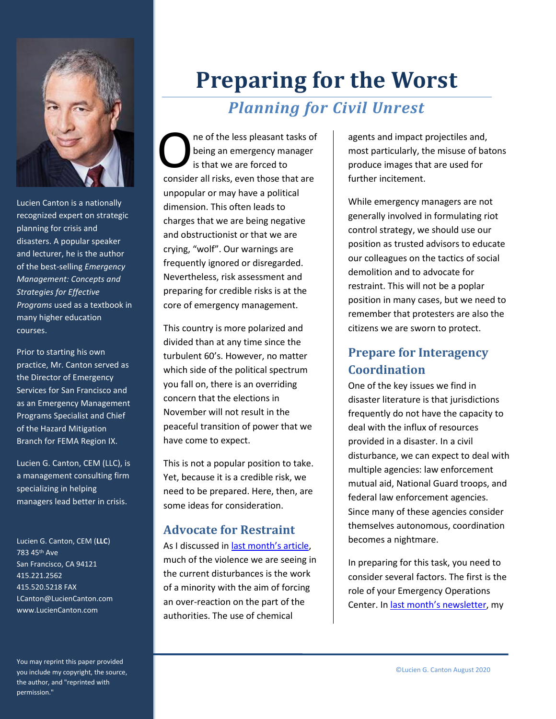

Lucien Canton is a nationally recognized expert on strategic planning for crisis and disasters. A popular speaker and lecturer, he is the author of the best-selling *Emergency Management: Concepts and Strategies for Effective Programs* used as a textbook in many higher education courses.

Prior to starting his own practice, Mr. Canton served as the Director of Emergency Services for San Francisco and as an Emergency Management Programs Specialist and Chief of the Hazard Mitigation Branch for FEMA Region IX.

Lucien G. Canton, CEM (LLC), is a management consulting firm specializing in helping managers lead better in crisis.

Lucien G. Canton, CEM (**LLC**) 783 45th Ave San Francisco, CA 94121 415.221.2562 415.520.5218 FAX LCanton@LucienCanton.com www.LucienCanton.com

You may reprint this paper provided you include my copyright, the source, the author, and "reprinted with permission."

# **Preparing for the Worst**

# *Planning for Civil Unrest*

ne of the less pleasant tasks of being an emergency manager is that we are forced to The of the less pleasant tasks of<br>being an emergency manager<br>is that we are forced to<br>consider all risks, even those that are unpopular or may have a political dimension. This often leads to charges that we are being negative and obstructionist or that we are crying, "wolf". Our warnings are frequently ignored or disregarded. Nevertheless, risk assessment and preparing for credible risks is at the core of emergency management.

This country is more polarized and divided than at any time since the turbulent 60's. However, no matter which side of the political spectrum you fall on, there is an overriding concern that the elections in November will not result in the peaceful transition of power that we have come to expect.

This is not a popular position to take. Yet, because it is a credible risk, we need to be prepared. Here, then, are some ideas for consideration.

## **Advocate for Restraint**

As I discussed in [last month's article](https://freeresources.luciencanton.com/2020/07/perception-is-reality-thoughts-on-responding-to-civil-unrest.html), much of the violence we are seeing in the current disturbances is the work of a minority with the aim of forcing an over-reaction on the part of the authorities. The use of chemical

agents and impact projectiles and, most particularly, the misuse of batons produce images that are used for further incitement.

While emergency managers are not generally involved in formulating riot control strategy, we should use our position as trusted advisors to educate our colleagues on the tactics of social demolition and to advocate for restraint. This will not be a poplar position in many cases, but we need to remember that protesters are also the citizens we are sworn to protect.

# **Prepare for Interagency Coordination**

One of the key issues we find in disaster literature is that jurisdictions frequently do not have the capacity to deal with the influx of resources provided in a disaster. In a civil disturbance, we can expect to deal with multiple agencies: law enforcement mutual aid, National Guard troops, and federal law enforcement agencies. Since many of these agencies consider themselves autonomous, coordination becomes a nightmare.

In preparing for this task, you need to consider several factors. The first is the role of your Emergency Operations Center. In [last month's newsletter](https://freeresources.luciencanton.com/2020/08/emergency-management-solutions-july-2020.html), my